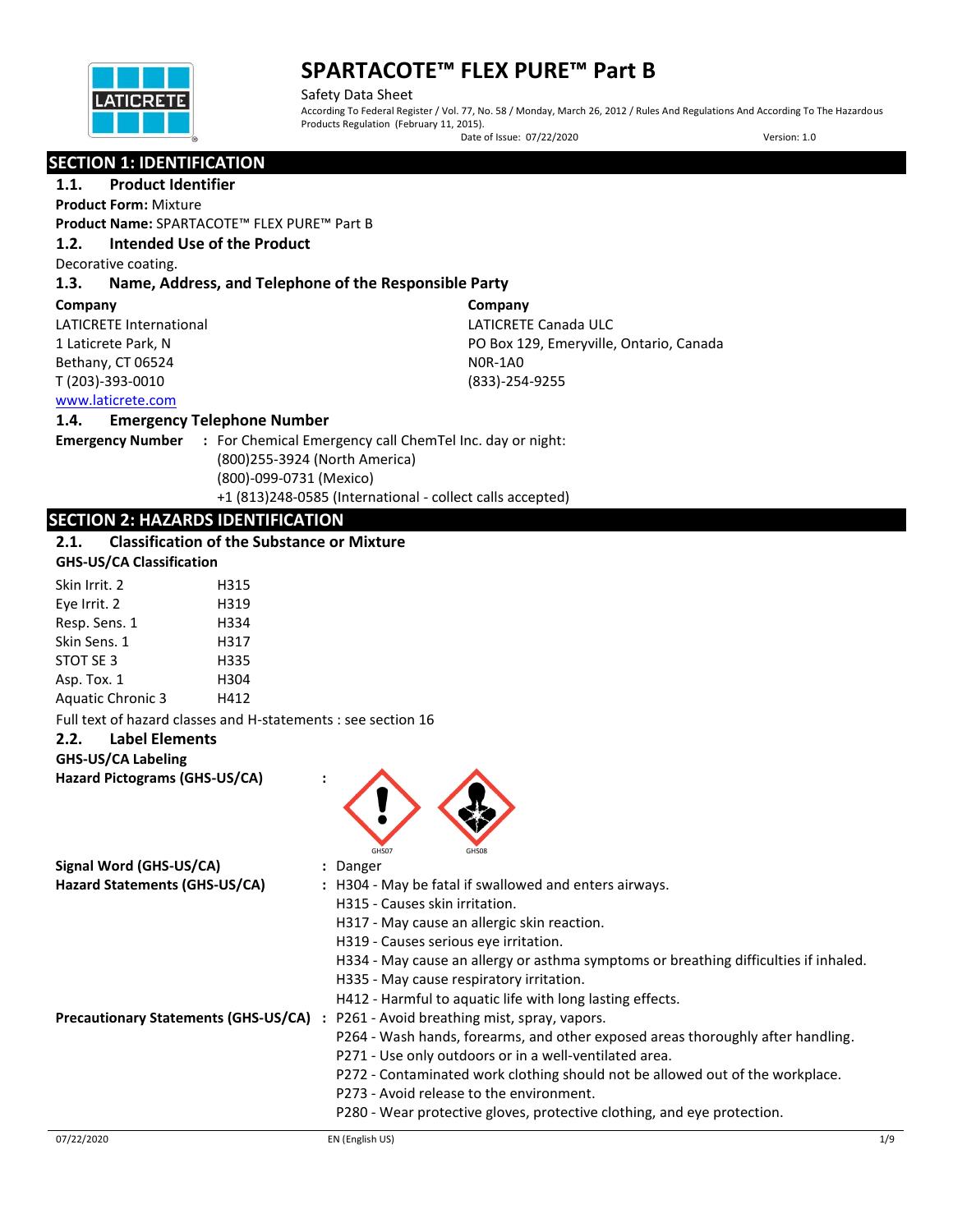

Safety Data Sheet According To Federal Register / Vol. 77, No. 58 / Monday, March 26, 2012 / Rules And Regulations And According To The Hazardous Products Regulation (February 11, 2015). Date of Issue: 07/22/2020 Version: 1.0

## **SECTION 1: IDENTIFICATION**

## **1.1. Product Identifier**

**Product Form:** Mixture

**Product Name:** SPARTACOTE™ FLEX PURE™ Part B

### **1.2. Intended Use of the Product**

Decorative coating.

### **1.3. Name, Address, and Telephone of the Responsible Party**

#### **Company**

LATICRETE International 1 Laticrete Park, N Bethany, CT 06524 T (203)-393-0010

**Company** LATICRETE Canada ULC PO Box 129, Emeryville, Ontario, Canada N0R-1A0 (833)-254-9255

### [www.laticrete.com](http://www.laticrete.com/)

#### **1.4. Emergency Telephone Number**

**Emergency Number :** For Chemical Emergency call ChemTel Inc. day or night: (800)255-3924 (North America) (800)-099-0731 (Mexico) +1 (813)248-0585 (International - collect calls accepted)

## **SECTION 2: HAZARDS IDENTIFICATION**

## **2.1. Classification of the Substance or Mixture**

#### **GHS-US/CA Classification**

| H315 |
|------|
|      |
| H319 |
| H334 |
| H317 |
| H335 |
| H304 |
| H412 |
|      |

Full text of hazard classes and H-statements : see section 16

#### **2.2. Label Elements**

#### **GHS-US/CA Labeling**

**Hazard Pictograms (GHS-US/CA) :**



| Signal Word (GHS-US/CA)<br>: Danger<br>Hazard Statements (GHS-US/CA)<br>: H304 - May be fatal if swallowed and enters airways.<br>H315 - Causes skin irritation.<br>H317 - May cause an allergic skin reaction.<br>H319 - Causes serious eve irritation.<br>H334 - May cause an allergy or asthma symptoms or breathing difficulties if inhaled. |  |
|--------------------------------------------------------------------------------------------------------------------------------------------------------------------------------------------------------------------------------------------------------------------------------------------------------------------------------------------------|--|
|                                                                                                                                                                                                                                                                                                                                                  |  |
|                                                                                                                                                                                                                                                                                                                                                  |  |
|                                                                                                                                                                                                                                                                                                                                                  |  |
|                                                                                                                                                                                                                                                                                                                                                  |  |
|                                                                                                                                                                                                                                                                                                                                                  |  |
| H335 - May cause respiratory irritation.                                                                                                                                                                                                                                                                                                         |  |
| H412 - Harmful to aquatic life with long lasting effects.                                                                                                                                                                                                                                                                                        |  |
| <b>Precautionary Statements (GHS-US/CA)</b><br>P261 - Avoid breathing mist, spray, vapors.                                                                                                                                                                                                                                                       |  |
| P264 - Wash hands, forearms, and other exposed areas thoroughly after handling.                                                                                                                                                                                                                                                                  |  |
| P271 - Use only outdoors or in a well-ventilated area.                                                                                                                                                                                                                                                                                           |  |
| P272 - Contaminated work clothing should not be allowed out of the workplace.                                                                                                                                                                                                                                                                    |  |
| P273 - Avoid release to the environment.                                                                                                                                                                                                                                                                                                         |  |
| P280 - Wear protective gloves, protective clothing, and eye protection.                                                                                                                                                                                                                                                                          |  |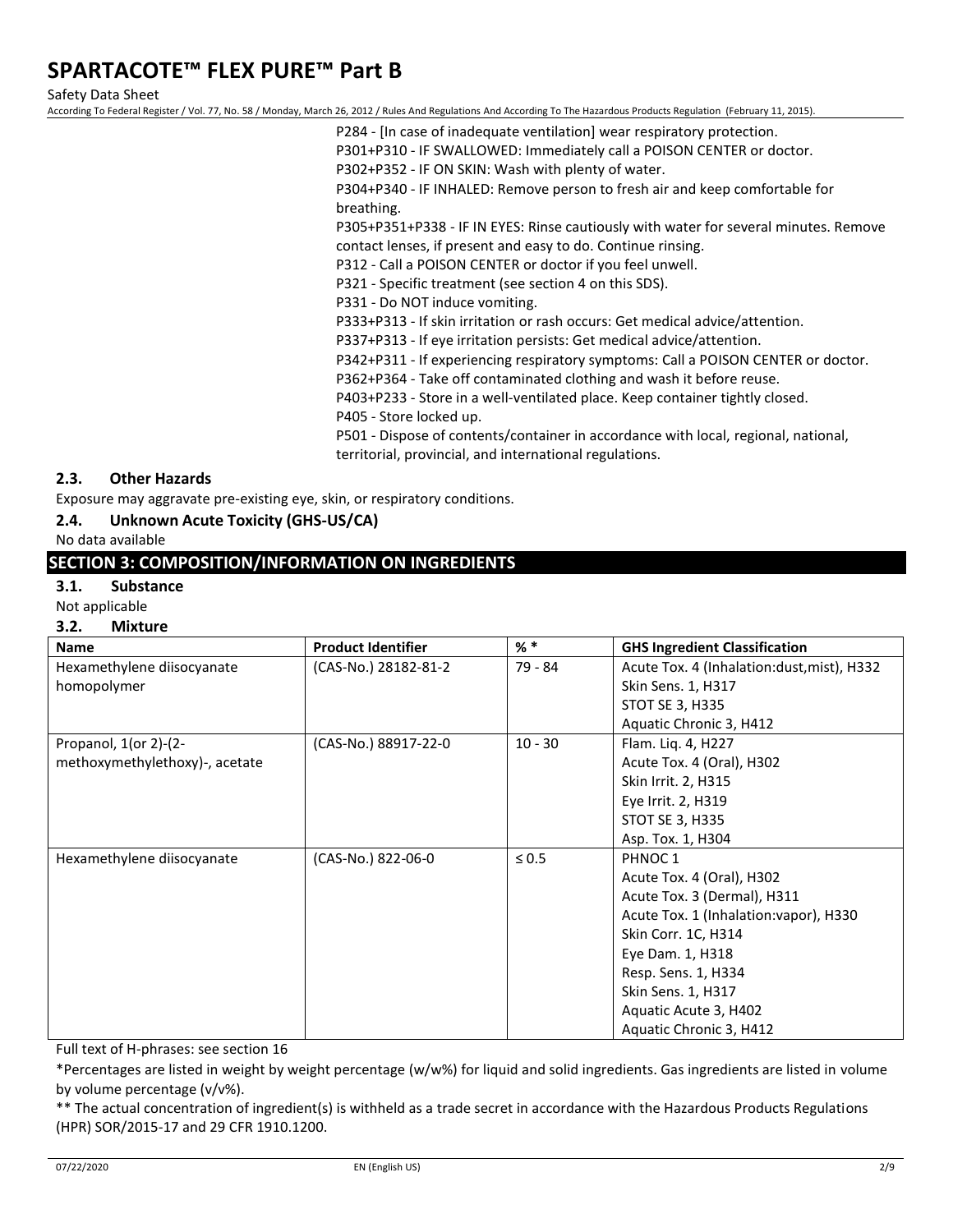Safety Data Sheet

According To Federal Register / Vol. 77, No. 58 / Monday, March 26, 2012 / Rules And Regulations And According To The Hazardous Products Regulation (February 11, 2015).

- P284 [In case of inadequate ventilation] wear respiratory protection.
- P301+P310 IF SWALLOWED: Immediately call a POISON CENTER or doctor.
- P302+P352 IF ON SKIN: Wash with plenty of water.

P304+P340 - IF INHALED: Remove person to fresh air and keep comfortable for breathing.

P305+P351+P338 - IF IN EYES: Rinse cautiously with water for several minutes. Remove contact lenses, if present and easy to do. Continue rinsing.

P312 - Call a POISON CENTER or doctor if you feel unwell.

P321 - Specific treatment (see section 4 on this SDS).

P331 - Do NOT induce vomiting.

P333+P313 - If skin irritation or rash occurs: Get medical advice/attention.

P337+P313 - If eye irritation persists: Get medical advice/attention.

P342+P311 - If experiencing respiratory symptoms: Call a POISON CENTER or doctor.

P362+P364 - Take off contaminated clothing and wash it before reuse.

P403+P233 - Store in a well-ventilated place. Keep container tightly closed.

P405 - Store locked up.

P501 - Dispose of contents/container in accordance with local, regional, national, territorial, provincial, and international regulations.

## **2.3. Other Hazards**

Exposure may aggravate pre-existing eye, skin, or respiratory conditions.

**2.4. Unknown Acute Toxicity (GHS-US/CA)**

No data available

## **SECTION 3: COMPOSITION/INFORMATION ON INGREDIENTS**

#### **3.1. Substance**

Not applicable

#### **3.2. Mixture**

| <b>Name</b>                    | <b>Product Identifier</b> | % *        | <b>GHS Ingredient Classification</b>       |
|--------------------------------|---------------------------|------------|--------------------------------------------|
| Hexamethylene diisocyanate     | (CAS-No.) 28182-81-2      | 79 - 84    | Acute Tox. 4 (Inhalation:dust, mist), H332 |
| homopolymer                    |                           |            | Skin Sens. 1, H317                         |
|                                |                           |            | STOT SE 3, H335                            |
|                                |                           |            | Aquatic Chronic 3, H412                    |
| Propanol, $1$ (or 2)- $(2-$    | (CAS-No.) 88917-22-0      | $10 - 30$  | Flam. Liq. 4, H227                         |
| methoxymethylethoxy)-, acetate |                           |            | Acute Tox. 4 (Oral), H302                  |
|                                |                           |            | Skin Irrit. 2, H315                        |
|                                |                           |            | Eye Irrit. 2, H319                         |
|                                |                           |            | <b>STOT SE 3, H335</b>                     |
|                                |                           |            | Asp. Tox. 1, H304                          |
| Hexamethylene diisocyanate     | (CAS-No.) 822-06-0        | $\leq 0.5$ | PHNOC 1                                    |
|                                |                           |            | Acute Tox. 4 (Oral), H302                  |
|                                |                           |            | Acute Tox. 3 (Dermal), H311                |
|                                |                           |            | Acute Tox. 1 (Inhalation: vapor), H330     |
|                                |                           |            | Skin Corr. 1C, H314                        |
|                                |                           |            | Eye Dam. 1, H318                           |
|                                |                           |            | Resp. Sens. 1, H334                        |
|                                |                           |            | Skin Sens. 1, H317                         |
|                                |                           |            | Aquatic Acute 3, H402                      |
|                                |                           |            | Aquatic Chronic 3, H412                    |

Full text of H-phrases: see section 16

\*Percentages are listed in weight by weight percentage (w/w%) for liquid and solid ingredients. Gas ingredients are listed in volume by volume percentage (v/v%).

\*\* The actual concentration of ingredient(s) is withheld as a trade secret in accordance with the Hazardous Products Regulations (HPR) SOR/2015-17 and 29 CFR 1910.1200.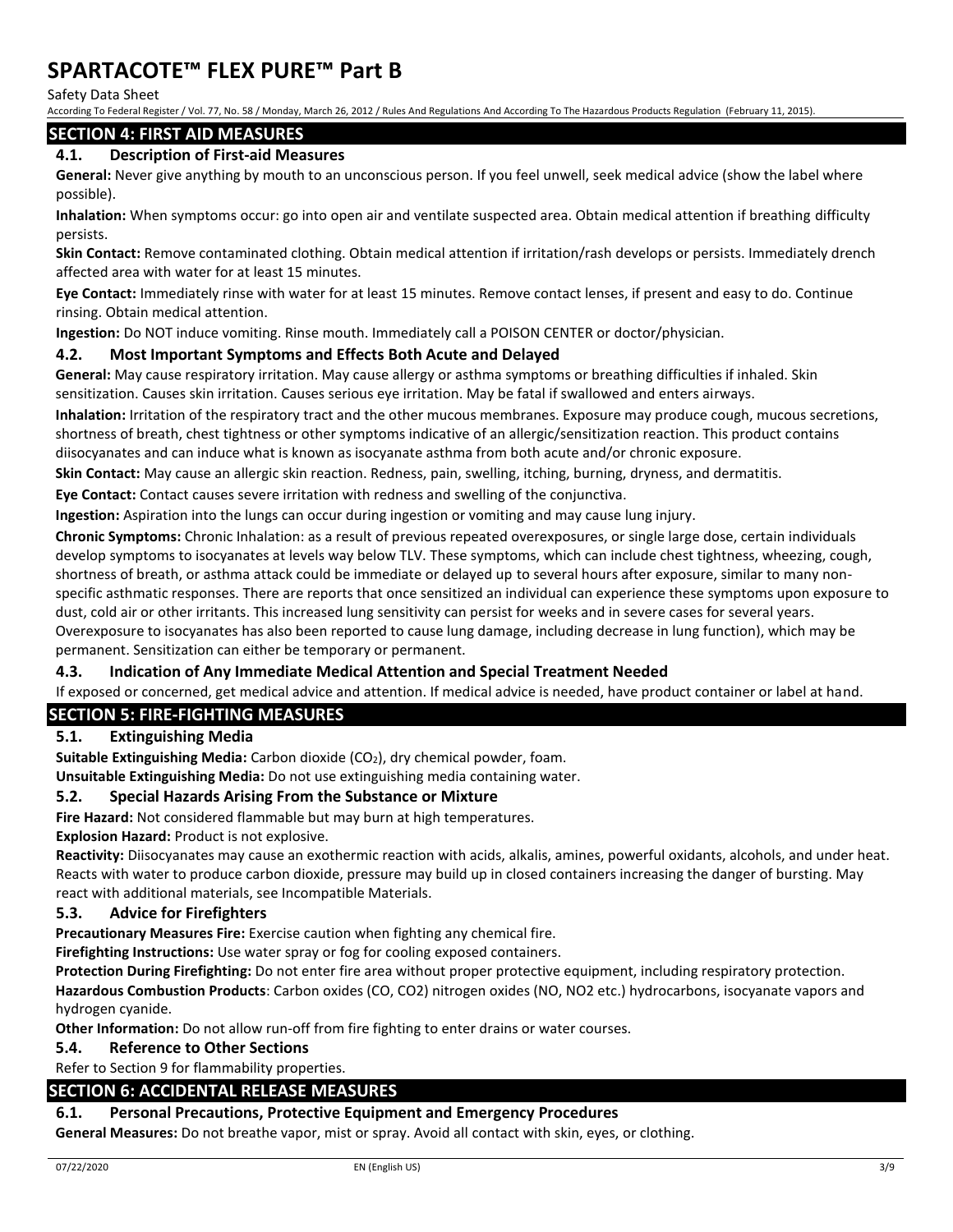Safety Data Sheet

According To Federal Register / Vol. 77, No. 58 / Monday, March 26, 2012 / Rules And Regulations And According To The Hazardous Products Regulation (February 11, 2015).

## **SECTION 4: FIRST AID MEASURES**

### **4.1. Description of First-aid Measures**

**General:** Never give anything by mouth to an unconscious person. If you feel unwell, seek medical advice (show the label where possible).

**Inhalation:** When symptoms occur: go into open air and ventilate suspected area. Obtain medical attention if breathing difficulty persists.

**Skin Contact:** Remove contaminated clothing. Obtain medical attention if irritation/rash develops or persists. Immediately drench affected area with water for at least 15 minutes.

**Eye Contact:** Immediately rinse with water for at least 15 minutes. Remove contact lenses, if present and easy to do. Continue rinsing. Obtain medical attention.

**Ingestion:** Do NOT induce vomiting. Rinse mouth. Immediately call a POISON CENTER or doctor/physician.

#### **4.2. Most Important Symptoms and Effects Both Acute and Delayed**

**General:** May cause respiratory irritation. May cause allergy or asthma symptoms or breathing difficulties if inhaled. Skin sensitization. Causes skin irritation. Causes serious eye irritation. May be fatal if swallowed and enters airways.

**Inhalation:** Irritation of the respiratory tract and the other mucous membranes. Exposure may produce cough, mucous secretions, shortness of breath, chest tightness or other symptoms indicative of an allergic/sensitization reaction. This product contains diisocyanates and can induce what is known as isocyanate asthma from both acute and/or chronic exposure.

**Skin Contact:** May cause an allergic skin reaction. Redness, pain, swelling, itching, burning, dryness, and dermatitis.

**Eye Contact:** Contact causes severe irritation with redness and swelling of the conjunctiva.

**Ingestion:** Aspiration into the lungs can occur during ingestion or vomiting and may cause lung injury.

**Chronic Symptoms:** Chronic Inhalation: as a result of previous repeated overexposures, or single large dose, certain individuals develop symptoms to isocyanates at levels way below TLV. These symptoms, which can include chest tightness, wheezing, cough, shortness of breath, or asthma attack could be immediate or delayed up to several hours after exposure, similar to many nonspecific asthmatic responses. There are reports that once sensitized an individual can experience these symptoms upon exposure to dust, cold air or other irritants. This increased lung sensitivity can persist for weeks and in severe cases for several years. Overexposure to isocyanates has also been reported to cause lung damage, including decrease in lung function), which may be permanent. Sensitization can either be temporary or permanent.

#### **4.3. Indication of Any Immediate Medical Attention and Special Treatment Needed**

If exposed or concerned, get medical advice and attention. If medical advice is needed, have product container or label at hand.

## **SECTION 5: FIRE-FIGHTING MEASURES**

### **5.1. Extinguishing Media**

**Suitable Extinguishing Media:** Carbon dioxide (CO2), dry chemical powder, foam.

**Unsuitable Extinguishing Media:** Do not use extinguishing media containing water.

#### **5.2. Special Hazards Arising From the Substance or Mixture**

**Fire Hazard:** Not considered flammable but may burn at high temperatures.

**Explosion Hazard:** Product is not explosive.

**Reactivity:** Diisocyanates may cause an exothermic reaction with acids, alkalis, amines, powerful oxidants, alcohols, and under heat. Reacts with water to produce carbon dioxide, pressure may build up in closed containers increasing the danger of bursting. May react with additional materials, see Incompatible Materials.

#### **5.3. Advice for Firefighters**

**Precautionary Measures Fire:** Exercise caution when fighting any chemical fire.

**Firefighting Instructions:** Use water spray or fog for cooling exposed containers.

**Protection During Firefighting:** Do not enter fire area without proper protective equipment, including respiratory protection. **Hazardous Combustion Products**: Carbon oxides (CO, CO2) nitrogen oxides (NO, NO2 etc.) hydrocarbons, isocyanate vapors and hydrogen cyanide.

**Other Information:** Do not allow run-off from fire fighting to enter drains or water courses.

#### **5.4. Reference to Other Sections**

Refer to Section 9 for flammability properties.

#### **SECTION 6: ACCIDENTAL RELEASE MEASURES**

#### **6.1. Personal Precautions, Protective Equipment and Emergency Procedures**

**General Measures:** Do not breathe vapor, mist or spray. Avoid all contact with skin, eyes, or clothing.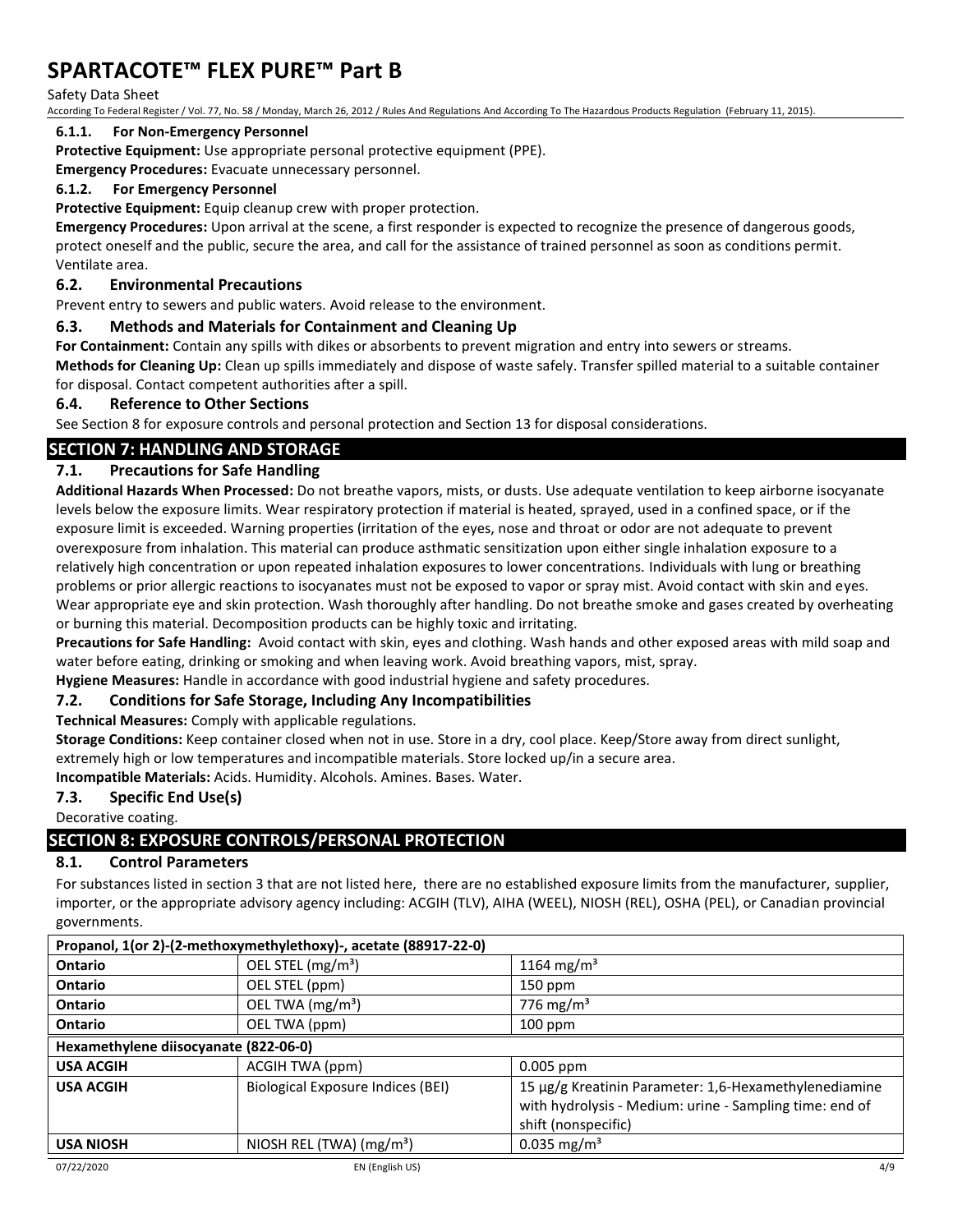#### Safety Data Sheet

According To Federal Register / Vol. 77, No. 58 / Monday, March 26, 2012 / Rules And Regulations And According To The Hazardous Products Regulation (February 11, 2015).

#### **6.1.1. For Non-Emergency Personnel**

**Protective Equipment:** Use appropriate personal protective equipment (PPE).

**Emergency Procedures:** Evacuate unnecessary personnel.

#### **6.1.2. For Emergency Personnel**

**Protective Equipment:** Equip cleanup crew with proper protection.

**Emergency Procedures:** Upon arrival at the scene, a first responder is expected to recognize the presence of dangerous goods, protect oneself and the public, secure the area, and call for the assistance of trained personnel as soon as conditions permit. Ventilate area.

### **6.2. Environmental Precautions**

Prevent entry to sewers and public waters. Avoid release to the environment.

### **6.3. Methods and Materials for Containment and Cleaning Up**

**For Containment:** Contain any spills with dikes or absorbents to prevent migration and entry into sewers or streams.

**Methods for Cleaning Up:** Clean up spills immediately and dispose of waste safely. Transfer spilled material to a suitable container for disposal. Contact competent authorities after a spill.

#### **6.4. Reference to Other Sections**

See Section 8 for exposure controls and personal protection and Section 13 for disposal considerations.

## **SECTION 7: HANDLING AND STORAGE**

## **7.1. Precautions for Safe Handling**

**Additional Hazards When Processed:** Do not breathe vapors, mists, or dusts. Use adequate ventilation to keep airborne isocyanate levels below the exposure limits. Wear respiratory protection if material is heated, sprayed, used in a confined space, or if the exposure limit is exceeded. Warning properties (irritation of the eyes, nose and throat or odor are not adequate to prevent overexposure from inhalation. This material can produce asthmatic sensitization upon either single inhalation exposure to a relatively high concentration or upon repeated inhalation exposures to lower concentrations. Individuals with lung or breathing problems or prior allergic reactions to isocyanates must not be exposed to vapor or spray mist. Avoid contact with skin and eyes. Wear appropriate eye and skin protection. Wash thoroughly after handling. Do not breathe smoke and gases created by overheating or burning this material. Decomposition products can be highly toxic and irritating.

**Precautions for Safe Handling:** Avoid contact with skin, eyes and clothing. Wash hands and other exposed areas with mild soap and water before eating, drinking or smoking and when leaving work. Avoid breathing vapors, mist, spray.

**Hygiene Measures:** Handle in accordance with good industrial hygiene and safety procedures.

#### **7.2. Conditions for Safe Storage, Including Any Incompatibilities**

**Technical Measures:** Comply with applicable regulations.

**Storage Conditions:** Keep container closed when not in use. Store in a dry, cool place. Keep/Store away from direct sunlight,

extremely high or low temperatures and incompatible materials. Store locked up/in a secure area.

**Incompatible Materials:** Acids. Humidity. Alcohols. Amines. Bases. Water.

## **7.3. Specific End Use(s)**

Decorative coating.

## **SECTION 8: EXPOSURE CONTROLS/PERSONAL PROTECTION**

## **8.1. Control Parameters**

For substances listed in section 3 that are not listed here, there are no established exposure limits from the manufacturer, supplier, importer, or the appropriate advisory agency including: ACGIH (TLV), AIHA (WEEL), NIOSH (REL), OSHA (PEL), or Canadian provincial governments.

| Propanol, 1(or 2)-(2-methoxymethylethoxy)-, acetate (88917-22-0) |                                   |                                                                                                                                         |  |
|------------------------------------------------------------------|-----------------------------------|-----------------------------------------------------------------------------------------------------------------------------------------|--|
| <b>Ontario</b>                                                   | OEL STEL (mg/m <sup>3</sup> )     | 1164 mg/m <sup>3</sup>                                                                                                                  |  |
| <b>Ontario</b>                                                   | OEL STEL (ppm)                    | $150$ ppm                                                                                                                               |  |
| <b>Ontario</b>                                                   | OEL TWA (mg/m <sup>3</sup> )      | 776 mg/m <sup>3</sup>                                                                                                                   |  |
| <b>Ontario</b>                                                   | OEL TWA (ppm)                     | $100$ ppm                                                                                                                               |  |
| Hexamethylene diisocyanate (822-06-0)                            |                                   |                                                                                                                                         |  |
| <b>USA ACGIH</b>                                                 | ACGIH TWA (ppm)                   | 0.005 ppm                                                                                                                               |  |
| <b>USA ACGIH</b>                                                 | Biological Exposure Indices (BEI) | 15 µg/g Kreatinin Parameter: 1,6-Hexamethylenediamine<br>with hydrolysis - Medium: urine - Sampling time: end of<br>shift (nonspecific) |  |
| <b>USA NIOSH</b>                                                 | NIOSH REL (TWA) $(mg/m3)$         | 0.035 mg/m <sup>3</sup>                                                                                                                 |  |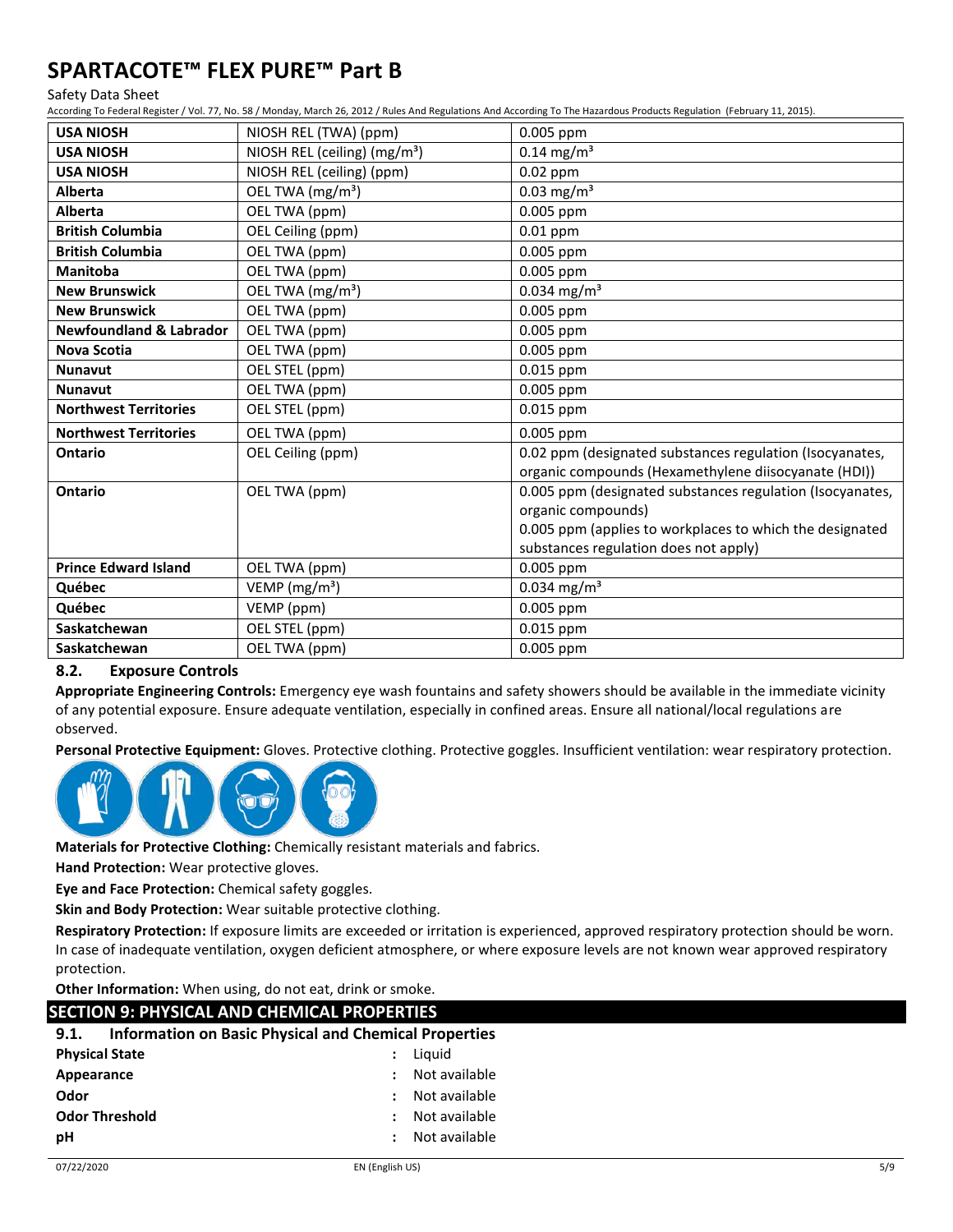#### Safety Data Sheet

According To Federal Register / Vol. 77, No. 58 / Monday, March 26, 2012 / Rules And Regulations And According To The Hazardous Products Regulation (February 11, 2015).

| <b>USA NIOSH</b>                   | NIOSH REL (TWA) (ppm)                    | 0.005 ppm                                                 |
|------------------------------------|------------------------------------------|-----------------------------------------------------------|
| <b>USA NIOSH</b>                   | NIOSH REL (ceiling) (mg/m <sup>3</sup> ) | $0.14$ mg/m <sup>3</sup>                                  |
| <b>USA NIOSH</b>                   | NIOSH REL (ceiling) (ppm)                | $0.02$ ppm                                                |
| <b>Alberta</b>                     | OEL TWA (mg/m <sup>3</sup> )             | $0.03$ mg/m <sup>3</sup>                                  |
| Alberta                            | OEL TWA (ppm)                            | 0.005 ppm                                                 |
| <b>British Columbia</b>            | OEL Ceiling (ppm)                        | $0.01$ ppm                                                |
| <b>British Columbia</b>            | OEL TWA (ppm)                            | 0.005 ppm                                                 |
| <b>Manitoba</b>                    | OEL TWA (ppm)                            | 0.005 ppm                                                 |
| <b>New Brunswick</b>               | OEL TWA (mg/m <sup>3</sup> )             | $0.034$ mg/m <sup>3</sup>                                 |
| <b>New Brunswick</b>               | OEL TWA (ppm)                            | 0.005 ppm                                                 |
| <b>Newfoundland &amp; Labrador</b> | OEL TWA (ppm)                            | 0.005 ppm                                                 |
| Nova Scotia                        | OEL TWA (ppm)                            | 0.005 ppm                                                 |
| <b>Nunavut</b>                     | OEL STEL (ppm)                           | 0.015 ppm                                                 |
| <b>Nunavut</b>                     | OEL TWA (ppm)                            | 0.005 ppm                                                 |
| <b>Northwest Territories</b>       | OEL STEL (ppm)                           | 0.015 ppm                                                 |
| <b>Northwest Territories</b>       | OEL TWA (ppm)                            | 0.005 ppm                                                 |
| <b>Ontario</b>                     | OEL Ceiling (ppm)                        | 0.02 ppm (designated substances regulation (Isocyanates,  |
|                                    |                                          | organic compounds (Hexamethylene diisocyanate (HDI))      |
| Ontario                            | OEL TWA (ppm)                            | 0.005 ppm (designated substances regulation (Isocyanates, |
|                                    |                                          | organic compounds)                                        |
|                                    |                                          | 0.005 ppm (applies to workplaces to which the designated  |
|                                    |                                          | substances regulation does not apply)                     |
| <b>Prince Edward Island</b>        | OEL TWA (ppm)                            | 0.005 ppm                                                 |
| Québec                             | VEMP ( $mg/m3$ )                         | $0.034$ mg/m <sup>3</sup>                                 |
| Québec                             | VEMP (ppm)                               | 0.005 ppm                                                 |
| Saskatchewan                       | OEL STEL (ppm)                           | 0.015 ppm                                                 |
| Saskatchewan                       | OEL TWA (ppm)                            | 0.005 ppm                                                 |

## **8.2. Exposure Controls**

**Appropriate Engineering Controls:** Emergency eye wash fountains and safety showers should be available in the immediate vicinity of any potential exposure. Ensure adequate ventilation, especially in confined areas. Ensure all national/local regulations are observed.

**Personal Protective Equipment:** Gloves. Protective clothing. Protective goggles. Insufficient ventilation: wear respiratory protection.



**Materials for Protective Clothing:** Chemically resistant materials and fabrics.

**Hand Protection:** Wear protective gloves.

**Eye and Face Protection:** Chemical safety goggles.

**Skin and Body Protection:** Wear suitable protective clothing.

**Respiratory Protection:** If exposure limits are exceeded or irritation is experienced, approved respiratory protection should be worn. In case of inadequate ventilation, oxygen deficient atmosphere, or where exposure levels are not known wear approved respiratory protection.

**Other Information:** When using, do not eat, drink or smoke.

| <b>SECTION 9: PHYSICAL AND CHEMICAL PROPERTIES</b>                   |               |  |  |  |
|----------------------------------------------------------------------|---------------|--|--|--|
| <b>Information on Basic Physical and Chemical Properties</b><br>9.1. |               |  |  |  |
| <b>Physical State</b>                                                | Liguid        |  |  |  |
| Appearance                                                           | Not available |  |  |  |
| Odor                                                                 | Not available |  |  |  |
| <b>Odor Threshold</b>                                                | Not available |  |  |  |
| pH                                                                   | Not available |  |  |  |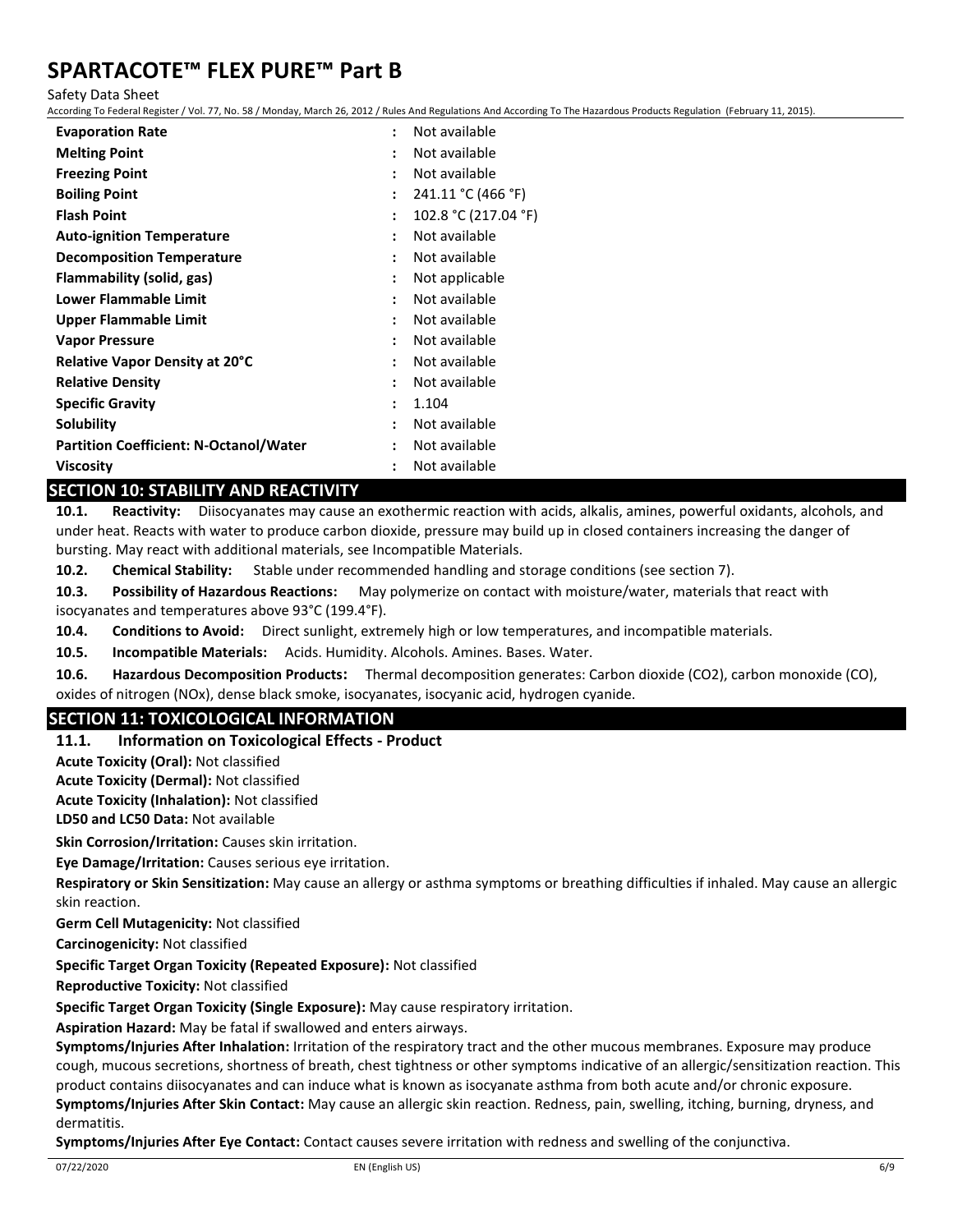Safety Data Sheet

According To Federal Register / Vol. 77, No. 58 / Monday, March 26, 2012 / Rules And Regulations And According To The Hazardous Products Regulation (February 11, 2015).

| <b>Evaporation Rate</b>                       | Not available<br>÷                    |
|-----------------------------------------------|---------------------------------------|
| <b>Melting Point</b>                          | Not available<br>٠                    |
| <b>Freezing Point</b>                         | Not available<br>÷                    |
| <b>Boiling Point</b>                          | 241.11 °C (466 °F)<br>÷               |
| <b>Flash Point</b>                            | 102.8 °C (217.04 °F)<br>:             |
| <b>Auto-ignition Temperature</b>              | Not available<br>$\ddot{\cdot}$       |
| <b>Decomposition Temperature</b>              | Not available<br>٠                    |
| <b>Flammability (solid, gas)</b>              | Not applicable<br>:                   |
| Lower Flammable Limit                         | Not available<br>$\ddot{\phantom{a}}$ |
| Upper Flammable Limit                         | Not available<br>٠                    |
| <b>Vapor Pressure</b>                         | Not available<br>$\ddot{\phantom{a}}$ |
| <b>Relative Vapor Density at 20°C</b>         | Not available<br>$\ddot{\cdot}$       |
| <b>Relative Density</b>                       | Not available<br>٠                    |
| <b>Specific Gravity</b>                       | 1.104<br>÷                            |
| Solubility                                    | Not available<br>÷                    |
| <b>Partition Coefficient: N-Octanol/Water</b> | Not available<br>÷                    |
| <b>Viscosity</b>                              | Not available<br>$\ddot{\cdot}$       |

### **SECTION 10: STABILITY AND REACTIVITY**

**10.1. Reactivity:** Diisocyanates may cause an exothermic reaction with acids, alkalis, amines, powerful oxidants, alcohols, and under heat. Reacts with water to produce carbon dioxide, pressure may build up in closed containers increasing the danger of bursting. May react with additional materials, see Incompatible Materials.

**10.2. Chemical Stability:** Stable under recommended handling and storage conditions (see section 7).

**10.3. Possibility of Hazardous Reactions:** May polymerize on contact with moisture/water, materials that react with isocyanates and temperatures above 93°C (199.4°F).

**10.4. Conditions to Avoid:** Direct sunlight, extremely high or low temperatures, and incompatible materials.

**10.5. Incompatible Materials:** Acids. Humidity. Alcohols. Amines. Bases. Water.

**10.6. Hazardous Decomposition Products:** Thermal decomposition generates: Carbon dioxide (CO2), carbon monoxide (CO), oxides of nitrogen (NOx), dense black smoke, isocyanates, isocyanic acid, hydrogen cyanide.

## **SECTION 11: TOXICOLOGICAL INFORMATION**

#### **11.1. Information on Toxicological Effects - Product**

**Acute Toxicity (Oral):** Not classified

**Acute Toxicity (Dermal):** Not classified

**Acute Toxicity (Inhalation):** Not classified

**LD50 and LC50 Data:** Not available

**Skin Corrosion/Irritation:** Causes skin irritation.

**Eye Damage/Irritation:** Causes serious eye irritation.

**Respiratory or Skin Sensitization:** May cause an allergy or asthma symptoms or breathing difficulties if inhaled. May cause an allergic skin reaction.

**Germ Cell Mutagenicity:** Not classified

**Carcinogenicity:** Not classified

**Specific Target Organ Toxicity (Repeated Exposure):** Not classified

**Reproductive Toxicity:** Not classified

**Specific Target Organ Toxicity (Single Exposure):** May cause respiratory irritation.

**Aspiration Hazard:** May be fatal if swallowed and enters airways.

**Symptoms/Injuries After Inhalation:** Irritation of the respiratory tract and the other mucous membranes. Exposure may produce cough, mucous secretions, shortness of breath, chest tightness or other symptoms indicative of an allergic/sensitization reaction. This product contains diisocyanates and can induce what is known as isocyanate asthma from both acute and/or chronic exposure. **Symptoms/Injuries After Skin Contact:** May cause an allergic skin reaction. Redness, pain, swelling, itching, burning, dryness, and dermatitis.

**Symptoms/Injuries After Eye Contact:** Contact causes severe irritation with redness and swelling of the conjunctiva.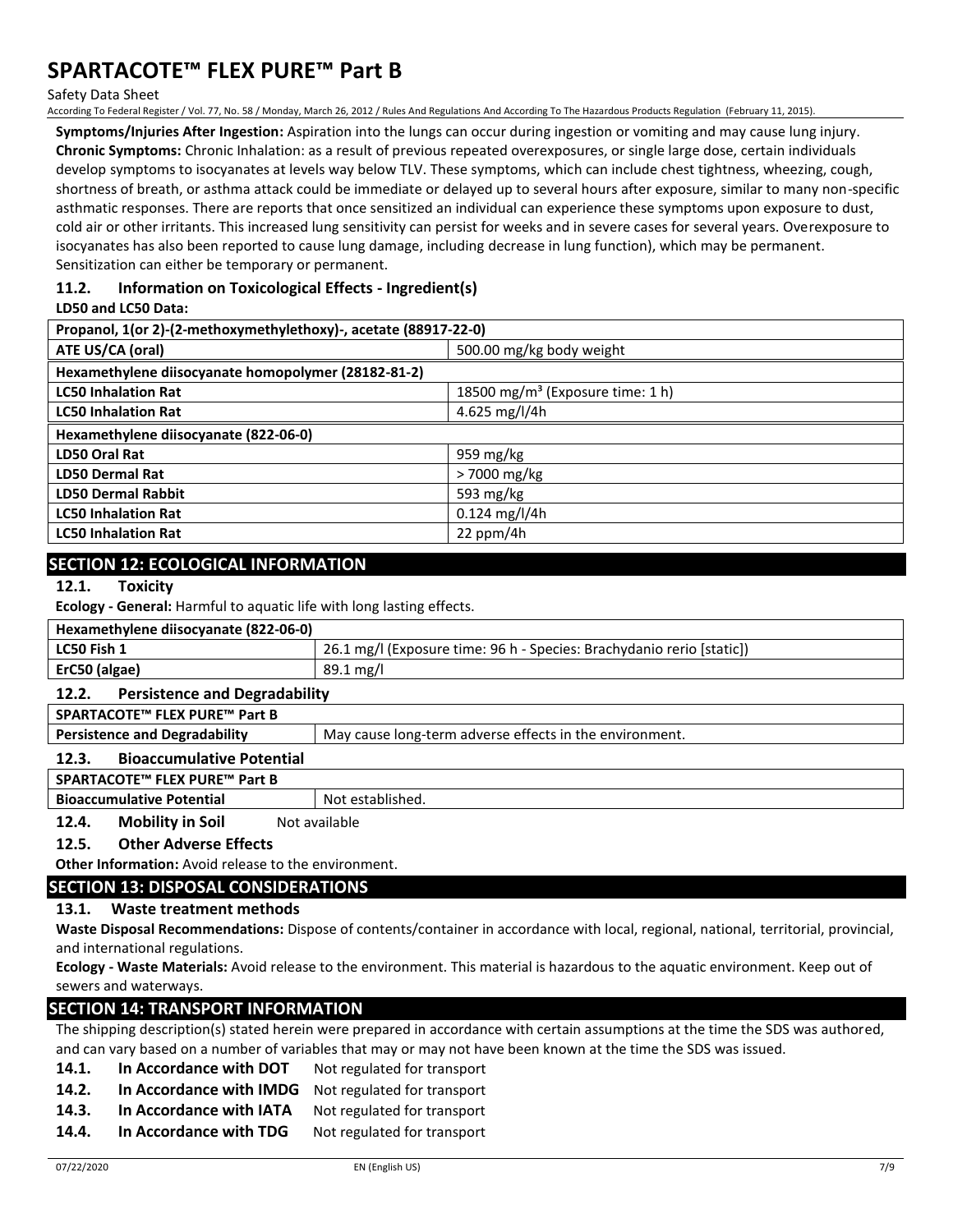Safety Data Sheet

According To Federal Register / Vol. 77, No. 58 / Monday, March 26, 2012 / Rules And Regulations And According To The Hazardous Products Regulation (February 11, 2015).

**Symptoms/Injuries After Ingestion:** Aspiration into the lungs can occur during ingestion or vomiting and may cause lung injury. **Chronic Symptoms:** Chronic Inhalation: as a result of previous repeated overexposures, or single large dose, certain individuals develop symptoms to isocyanates at levels way below TLV. These symptoms, which can include chest tightness, wheezing, cough, shortness of breath, or asthma attack could be immediate or delayed up to several hours after exposure, similar to many non-specific asthmatic responses. There are reports that once sensitized an individual can experience these symptoms upon exposure to dust, cold air or other irritants. This increased lung sensitivity can persist for weeks and in severe cases for several years. Overexposure to isocyanates has also been reported to cause lung damage, including decrease in lung function), which may be permanent. Sensitization can either be temporary or permanent.

### **11.2. Information on Toxicological Effects - Ingredient(s)**

#### **LD50 and LC50 Data:**

| Propanol, 1(or 2)-(2-methoxymethylethoxy)-, acetate (88917-22-0) |                                              |  |  |
|------------------------------------------------------------------|----------------------------------------------|--|--|
| ATE US/CA (oral)                                                 | 500.00 mg/kg body weight                     |  |  |
| Hexamethylene diisocyanate homopolymer (28182-81-2)              |                                              |  |  |
| <b>LC50 Inhalation Rat</b>                                       | 18500 mg/m <sup>3</sup> (Exposure time: 1 h) |  |  |
| <b>LC50 Inhalation Rat</b>                                       | 4.625 mg/l/4h                                |  |  |
| Hexamethylene diisocyanate (822-06-0)                            |                                              |  |  |
| <b>LD50 Oral Rat</b>                                             | 959 mg/kg                                    |  |  |
| <b>LD50 Dermal Rat</b>                                           | > 7000 mg/kg                                 |  |  |
| <b>LD50 Dermal Rabbit</b>                                        | 593 mg/kg                                    |  |  |
| <b>LC50 Inhalation Rat</b>                                       | $0.124$ mg/l/4h                              |  |  |
| <b>LC50 Inhalation Rat</b>                                       | 22 ppm/4 $h$                                 |  |  |

## **SECTION 12: ECOLOGICAL INFORMATION**

**12.1. Toxicity**

**Ecology - General:** Harmful to aquatic life with long lasting effects.

| Hexamethylene diisocyanate (822-06-0) |                                                                       |  |  |
|---------------------------------------|-----------------------------------------------------------------------|--|--|
| LC50 Fish 1                           | 26.1 mg/l (Exposure time: 96 h - Species: Brachydanio rerio [static]) |  |  |
| ErC50 (algae)                         | 89.1 mg/l                                                             |  |  |
|                                       |                                                                       |  |  |

#### **12.2. Persistence and Degradability**

**SPARTACOTE™ FLEX PURE™ Part B**

**Persistence and Degradability** May cause long-term adverse effects in the environment.

#### **12.3. Bioaccumulative Potential**

**SPARTACOTE™ FLEX PURE™ Part B**

**Bioaccumulative Potential** Not established.

12.4. Mobility in Soil Not available

#### **12.5. Other Adverse Effects**

**Other Information:** Avoid release to the environment.

## **SECTION 13: DISPOSAL CONSIDERATIONS**

#### **13.1. Waste treatment methods**

**Waste Disposal Recommendations:** Dispose of contents/container in accordance with local, regional, national, territorial, provincial, and international regulations.

**Ecology - Waste Materials:** Avoid release to the environment. This material is hazardous to the aquatic environment. Keep out of sewers and waterways.

### **SECTION 14: TRANSPORT INFORMATION**

The shipping description(s) stated herein were prepared in accordance with certain assumptions at the time the SDS was authored, and can vary based on a number of variables that may or may not have been known at the time the SDS was issued.

- 14.1. In Accordance with DOT Not regulated for transport
- 14.2. In Accordance with IMDG Not regulated for transport
- 14.3. In Accordance with IATA Not regulated for transport
- 14.4. In Accordance with TDG Not regulated for transport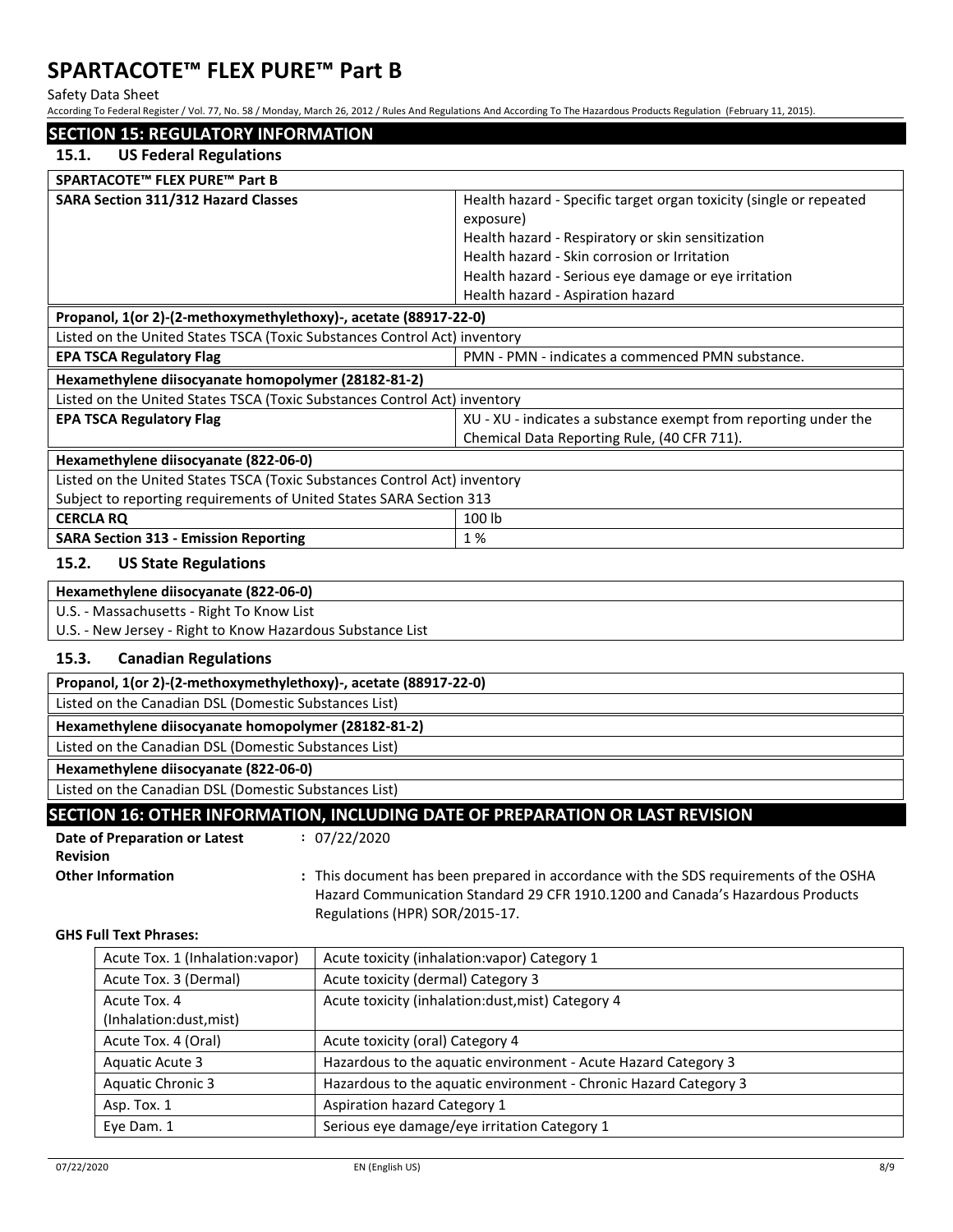Safety Data Sheet

According To Federal Register / Vol. 77, No. 58 / Monday, March 26, 2012 / Rules And Regulations And According To The Hazardous Products Regulation (February 11, 2015).

|                  |                                                                           |                                    | s idication negocity vol. 11, no. 30 / monday, march 20, 2012 / naies manegalations manecorality to me nazaraoas i rodaces negalation (rebraary |
|------------------|---------------------------------------------------------------------------|------------------------------------|-------------------------------------------------------------------------------------------------------------------------------------------------|
|                  | <b>SECTION 15: REGULATORY INFORMATION</b>                                 |                                    |                                                                                                                                                 |
| 15.1.            | <b>US Federal Regulations</b>                                             |                                    |                                                                                                                                                 |
|                  | SPARTACOTE™ FLEX PURE™ Part B                                             |                                    |                                                                                                                                                 |
|                  | SARA Section 311/312 Hazard Classes                                       |                                    | Health hazard - Specific target organ toxicity (single or repeated                                                                              |
|                  |                                                                           |                                    | exposure)                                                                                                                                       |
|                  |                                                                           |                                    | Health hazard - Respiratory or skin sensitization                                                                                               |
|                  |                                                                           |                                    | Health hazard - Skin corrosion or Irritation                                                                                                    |
|                  |                                                                           |                                    | Health hazard - Serious eye damage or eye irritation                                                                                            |
|                  |                                                                           |                                    | Health hazard - Aspiration hazard                                                                                                               |
|                  | Propanol, 1(or 2)-(2-methoxymethylethoxy)-, acetate (88917-22-0)          |                                    |                                                                                                                                                 |
|                  | Listed on the United States TSCA (Toxic Substances Control Act) inventory |                                    |                                                                                                                                                 |
|                  | <b>EPA TSCA Regulatory Flag</b>                                           |                                    | PMN - PMN - indicates a commenced PMN substance.                                                                                                |
|                  | Hexamethylene diisocyanate homopolymer (28182-81-2)                       |                                    |                                                                                                                                                 |
|                  | Listed on the United States TSCA (Toxic Substances Control Act) inventory |                                    |                                                                                                                                                 |
|                  | <b>EPA TSCA Regulatory Flag</b>                                           |                                    | XU - XU - indicates a substance exempt from reporting under the                                                                                 |
|                  |                                                                           |                                    | Chemical Data Reporting Rule, (40 CFR 711).                                                                                                     |
|                  | Hexamethylene diisocyanate (822-06-0)                                     |                                    |                                                                                                                                                 |
|                  | Listed on the United States TSCA (Toxic Substances Control Act) inventory |                                    |                                                                                                                                                 |
|                  | Subject to reporting requirements of United States SARA Section 313       |                                    |                                                                                                                                                 |
| <b>CERCLA RQ</b> |                                                                           |                                    | 100 lb                                                                                                                                          |
|                  | <b>SARA Section 313 - Emission Reporting</b>                              |                                    | 1%                                                                                                                                              |
| 15.2.            | <b>US State Regulations</b>                                               |                                    |                                                                                                                                                 |
|                  | Hexamethylene diisocyanate (822-06-0)                                     |                                    |                                                                                                                                                 |
|                  | U.S. - Massachusetts - Right To Know List                                 |                                    |                                                                                                                                                 |
|                  | U.S. - New Jersey - Right to Know Hazardous Substance List                |                                    |                                                                                                                                                 |
| 15.3.            | <b>Canadian Regulations</b>                                               |                                    |                                                                                                                                                 |
|                  | Propanol, 1(or 2)-(2-methoxymethylethoxy)-, acetate (88917-22-0)          |                                    |                                                                                                                                                 |
|                  | Listed on the Canadian DSL (Domestic Substances List)                     |                                    |                                                                                                                                                 |
|                  | Hexamethylene diisocyanate homopolymer (28182-81-2)                       |                                    |                                                                                                                                                 |
|                  | Listed on the Canadian DSL (Domestic Substances List)                     |                                    |                                                                                                                                                 |
|                  | Hexamethylene diisocyanate (822-06-0)                                     |                                    |                                                                                                                                                 |
|                  | Listed on the Canadian DSL (Domestic Substances List)                     |                                    |                                                                                                                                                 |
|                  |                                                                           |                                    | SECTION 16: OTHER INFORMATION, INCLUDING DATE OF PREPARATION OR LAST REVISION                                                                   |
|                  | Date of Preparation or Latest                                             | : 07/22/2020                       |                                                                                                                                                 |
| <b>Revision</b>  |                                                                           |                                    |                                                                                                                                                 |
|                  | <b>Other Information</b>                                                  |                                    | : This document has been prepared in accordance with the SDS requirements of the OSHA                                                           |
|                  |                                                                           |                                    | Hazard Communication Standard 29 CFR 1910.1200 and Canada's Hazardous Products                                                                  |
|                  |                                                                           | Regulations (HPR) SOR/2015-17.     |                                                                                                                                                 |
|                  | <b>GHS Full Text Phrases:</b>                                             |                                    |                                                                                                                                                 |
|                  | Acute Tox. 1 (Inhalation:vapor)                                           |                                    | Acute toxicity (inhalation: vapor) Category 1                                                                                                   |
|                  | Acute Tox. 3 (Dermal)                                                     | Acute toxicity (dermal) Category 3 |                                                                                                                                                 |
|                  | Acute Tox. 4                                                              |                                    | Acute toxicity (inhalation:dust, mist) Category 4                                                                                               |
|                  | (Inhalation:dust, mist)                                                   |                                    |                                                                                                                                                 |
|                  | Acute Tox. 4 (Oral)                                                       | Acute toxicity (oral) Category 4   |                                                                                                                                                 |
|                  | Aquatic Acute 3                                                           |                                    | Hazardous to the aquatic environment - Acute Hazard Category 3                                                                                  |
|                  | <b>Aquatic Chronic 3</b>                                                  |                                    | Hazardous to the aquatic environment - Chronic Hazard Category 3                                                                                |

Eye Dam. 1 Serious eye damage/eye irritation Category 1

Asp. Tox. 1 Aspiration hazard Category 1